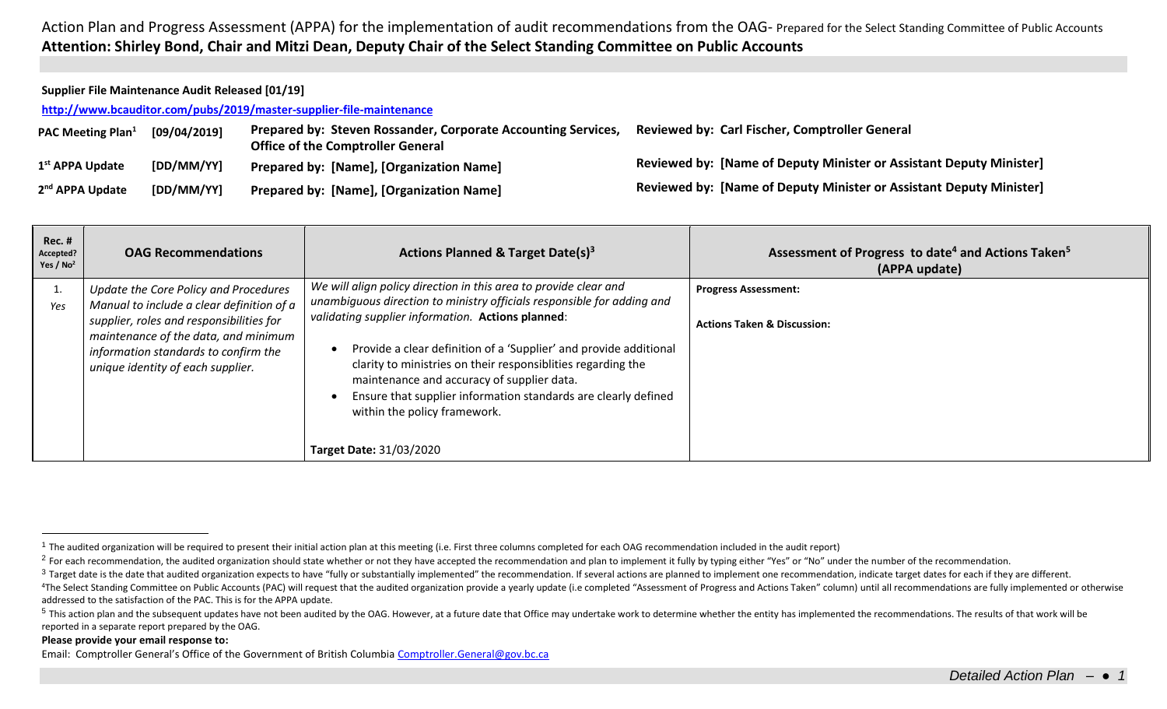Action Plan and Progress Assessment (APPA) for the implementation of audit recommendations from the OAG- Prepared for the Select Standing Committee of Public Accounts **Attention: Shirley Bond, Chair and Mitzi Dean, Deputy Chair of the Select Standing Committee on Public Accounts**

## **Supplier File Maintenance Audit Released [01/19]**

**<http://www.bcauditor.com/pubs/2019/master-supplier-file-maintenance>**

| <b>PAC Meeting Plan</b> <sup>1</sup> | [09/04/2019] | Prepared by: Steven Rossander, Corporate Accounting Services,<br><b>Office of the Comptroller General</b> | <b>Reviewed by: Carl Fischer, Comptroller General</b>                      |
|--------------------------------------|--------------|-----------------------------------------------------------------------------------------------------------|----------------------------------------------------------------------------|
| 1 <sup>st</sup> APPA Update          | [DD/MM/YY]   | <b>Prepared by: [Name], [Organization Name]</b>                                                           | <b>Reviewed by: [Name of Deputy Minister or Assistant Deputy Minister]</b> |
| 2 <sup>nd</sup> APPA Update          | [DD/MM/YY]   | <b>Prepared by: [Name], [Organization Name]</b>                                                           | Reviewed by: [Name of Deputy Minister or Assistant Deputy Minister]        |

| Rec. #<br>Accepted?<br>Yes / $No2$ | <b>OAG Recommendations</b>                                                                                                                                                                                                                          | Actions Planned & Target Date(s) <sup>3</sup>                                                                                                                                                                                                                                                                                                                                                                                                                                                                          | Assessment of Progress to date <sup>4</sup> and Actions Taken <sup>5</sup><br>(APPA update) |
|------------------------------------|-----------------------------------------------------------------------------------------------------------------------------------------------------------------------------------------------------------------------------------------------------|------------------------------------------------------------------------------------------------------------------------------------------------------------------------------------------------------------------------------------------------------------------------------------------------------------------------------------------------------------------------------------------------------------------------------------------------------------------------------------------------------------------------|---------------------------------------------------------------------------------------------|
| $\perp$<br>Yes                     | Update the Core Policy and Procedures<br>Manual to include a clear definition of a<br>supplier, roles and responsibilities for<br>maintenance of the data, and minimum<br>information standards to confirm the<br>unique identity of each supplier. | We will align policy direction in this area to provide clear and<br>unambiguous direction to ministry officials responsible for adding and<br>validating supplier information. Actions planned:<br>Provide a clear definition of a 'Supplier' and provide additional<br>clarity to ministries on their responsiblities regarding the<br>maintenance and accuracy of supplier data.<br>Ensure that supplier information standards are clearly defined<br>within the policy framework.<br><b>Target Date: 31/03/2020</b> | <b>Progress Assessment:</b><br><b>Actions Taken &amp; Discussion:</b>                       |

## **Please provide your email response to:**

 $\overline{a}$ 

<sup>&</sup>lt;sup>1</sup> The audited organization will be required to present their initial action plan at this meeting (i.e. First three columns completed for each OAG recommendation included in the audit report)

<sup>&</sup>lt;sup>2</sup> For each recommendation, the audited organization should state whether or not they have accepted the recommendation and plan to implement it fully by typing either "Yes" or "No" under the number of the recommendation.

<sup>&</sup>lt;sup>3</sup> Target date is the date that audited organization expects to have "fully or substantially implemented" the recommendation. If several actions are planned to implement one recommendation, indicate target dates for each

<sup>&</sup>lt;sup>4</sup>The Select Standing Committee on Public Accounts (PAC) will request that the audited organization provide a yearly update (i.e completed "Assessment of Progress and Actions Taken" column) until all recommendations are f addressed to the satisfaction of the PAC. This is for the APPA update.

<sup>&</sup>lt;sup>5</sup> This action plan and the subsequent updates have not been audited by the OAG. However, at a future date that Office may undertake work to determine whether the entity has implemented the recommendations. The results of reported in a separate report prepared by the OAG.

Email: Comptroller General's Office of the Government of British Columbia [Comptroller.General@gov.bc.ca](mailto:Comptroller.General@gov.bc.ca)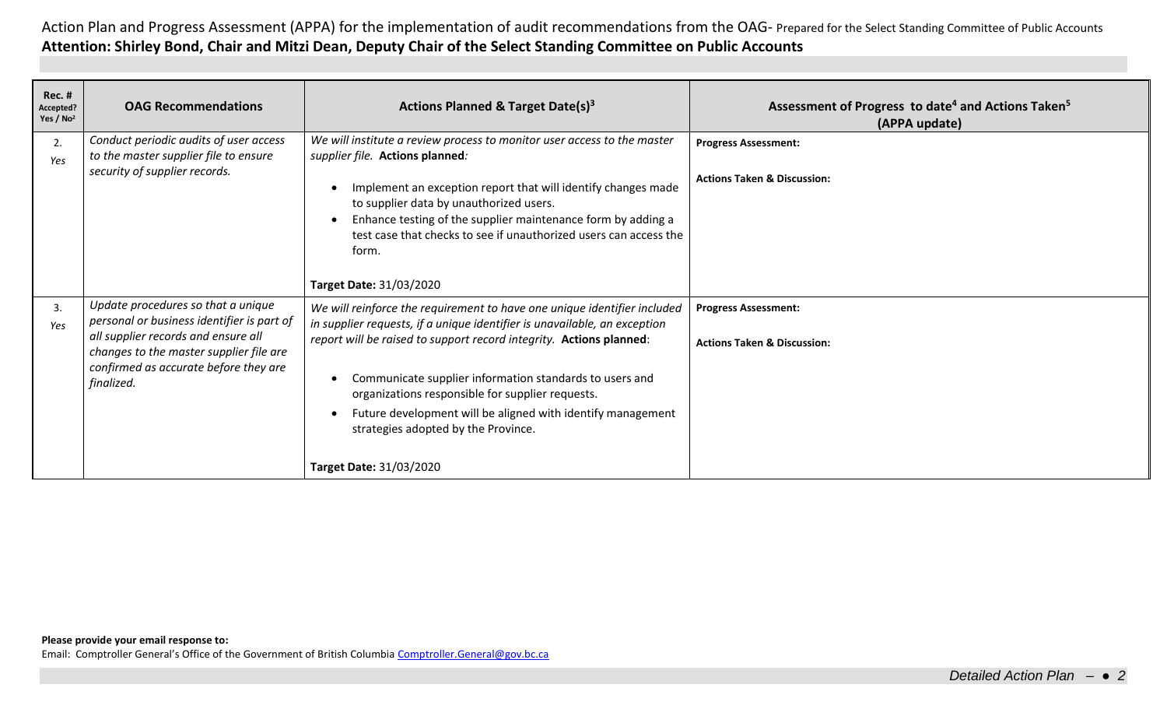Action Plan and Progress Assessment (APPA) for the implementation of audit recommendations from the OAG- Prepared for the Select Standing Committee of Public Accounts **Attention: Shirley Bond, Chair and Mitzi Dean, Deputy Chair of the Select Standing Committee on Public Accounts**

| <b>Rec. #</b><br>Accepted?<br>Yes / $No2$ | <b>OAG Recommendations</b>                                                                                                                                                                                                | <b>Actions Planned &amp; Target Date(s)3</b>                                                                                                                                                                                                                                                                                                                                                                                                                                        | Assessment of Progress to date <sup>4</sup> and Actions Taken <sup>5</sup><br>(APPA update) |
|-------------------------------------------|---------------------------------------------------------------------------------------------------------------------------------------------------------------------------------------------------------------------------|-------------------------------------------------------------------------------------------------------------------------------------------------------------------------------------------------------------------------------------------------------------------------------------------------------------------------------------------------------------------------------------------------------------------------------------------------------------------------------------|---------------------------------------------------------------------------------------------|
| 2.<br>Yes                                 | Conduct periodic audits of user access<br>to the master supplier file to ensure<br>security of supplier records.                                                                                                          | We will institute a review process to monitor user access to the master<br>supplier file. Actions planned:<br>Implement an exception report that will identify changes made<br>to supplier data by unauthorized users.<br>Enhance testing of the supplier maintenance form by adding a<br>test case that checks to see if unauthorized users can access the<br>form.<br>Target Date: 31/03/2020                                                                                     | <b>Progress Assessment:</b><br><b>Actions Taken &amp; Discussion:</b>                       |
| 3.<br>Yes                                 | Update procedures so that a unique<br>personal or business identifier is part of<br>all supplier records and ensure all<br>changes to the master supplier file are<br>confirmed as accurate before they are<br>finalized. | We will reinforce the requirement to have one unique identifier included<br>in supplier requests, if a unique identifier is unavailable, an exception<br>report will be raised to support record integrity. Actions planned:<br>Communicate supplier information standards to users and<br>organizations responsible for supplier requests.<br>Future development will be aligned with identify management<br>strategies adopted by the Province.<br><b>Target Date: 31/03/2020</b> | <b>Progress Assessment:</b><br><b>Actions Taken &amp; Discussion:</b>                       |